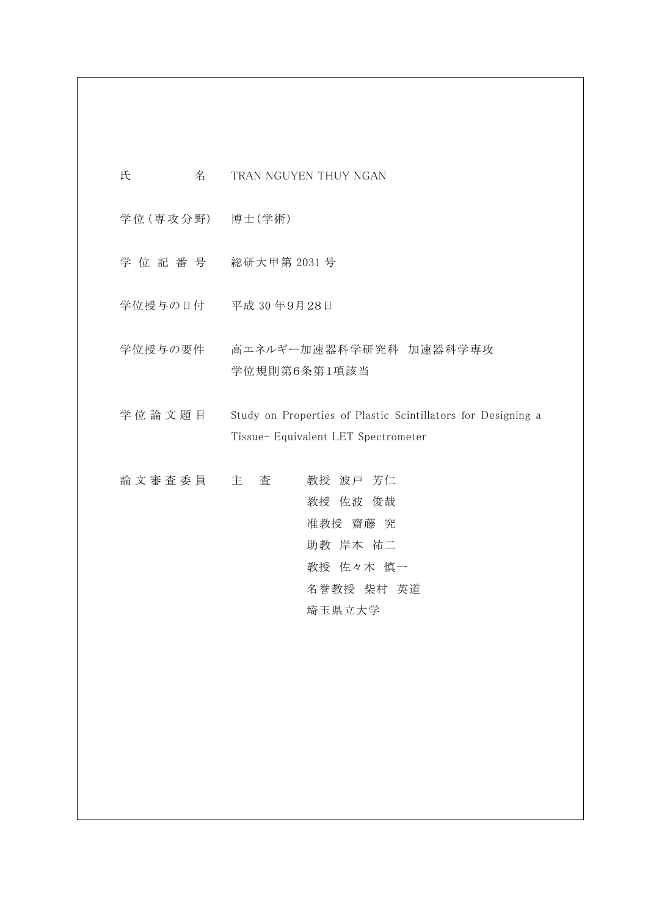氏 <br>
<br />
名 TRAN NGUYEN THUY NGAN

学 位 (専 攻 分 野) 博士(学術)

学 位 記 番 号 総研大甲第 2031 号

学位授与の日付 平成 30 年9月28日

学位授与の要件 高エネルギー加速器科学研究科 加速器科学専攻 学位規則第6条第1項該当

学位論文題目 Study on Properties of Plastic Scintillators for Designing a Tissue- Equivalent LET Spectrometer

| 論 文 審 査 委 員 主 | 査 | 教授 波戸 芳仁   |
|---------------|---|------------|
|               |   | 教授 佐波 俊哉   |
|               |   | 准教授 齋藤 究   |
|               |   | 助教 岸本 祐二   |
|               |   | 教授 佐々木 慎一  |
|               |   | 名誉教授 柴村 英道 |
|               |   | 埼玉県立大学     |
|               |   |            |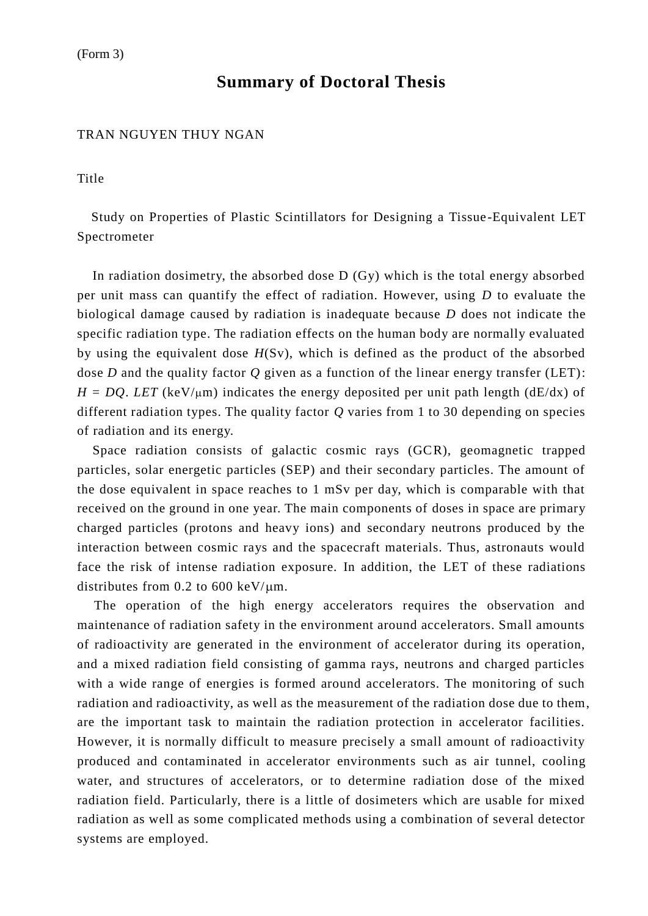## **Summary of Doctoral Thesis**

### TRAN NGUYEN THUY NGAN

Title

Study on Properties of Plastic Scintillators for Designing a Tissue -Equivalent LET Spectrometer

In radiation dosimetry, the absorbed dose D (Gy) which is the total energy absorbed per unit mass can quantify the effect of radiation. However, using *D* to evaluate the biological damage caused by radiation is inadequate because *D* does not indicate the specific radiation type. The radiation effects on the human body are normally evaluated by using the equivalent dose *H*(Sv), which is defined as the product of the absorbed dose *D* and the quality factor *Q* given as a function of the linear energy transfer (LET):  $H = DQ$ . *LET* (keV/ $\mu$ m) indicates the energy deposited per unit path length (dE/dx) of different radiation types. The quality factor *Q* varies from 1 to 30 depending on species of radiation and its energy.

Space radiation consists of galactic cosmic rays (GCR), geomagnetic trapped particles, solar energetic particles (SEP) and their secondary particles. The amount of the dose equivalent in space reaches to 1 mSv per day, which is comparable with that received on the ground in one year. The main components of doses in space are primary charged particles (protons and heavy ions) and secondary neutrons produced by the interaction between cosmic rays and the spacecraft materials. Thus, astronauts would face the risk of intense radiation exposure. In addition, the LET of these radiations distributes from 0.2 to 600 keV/ $\mu$ m.

The operation of the high energy accelerators requires the observation and maintenance of radiation safety in the environment around accelerators. Small amounts of radioactivity are generated in the environment of accelerator during its operation, and a mixed radiation field consisting of gamma rays, neutrons and charged particles with a wide range of energies is formed around accelerators. The monitoring of such radiation and radioactivity, as well as the measurement of the radiation dose due to them, are the important task to maintain the radiation protection in accelerator facilities. However, it is normally difficult to measure precisely a small amount of radioactivity produced and contaminated in accelerator environments such as air tunnel, cooling water, and structures of accelerators, or to determine radiation dose of the mixed radiation field. Particularly, there is a little of dosimeters which are usable for mixed radiation as well as some complicated methods using a combination of several detector systems are employed.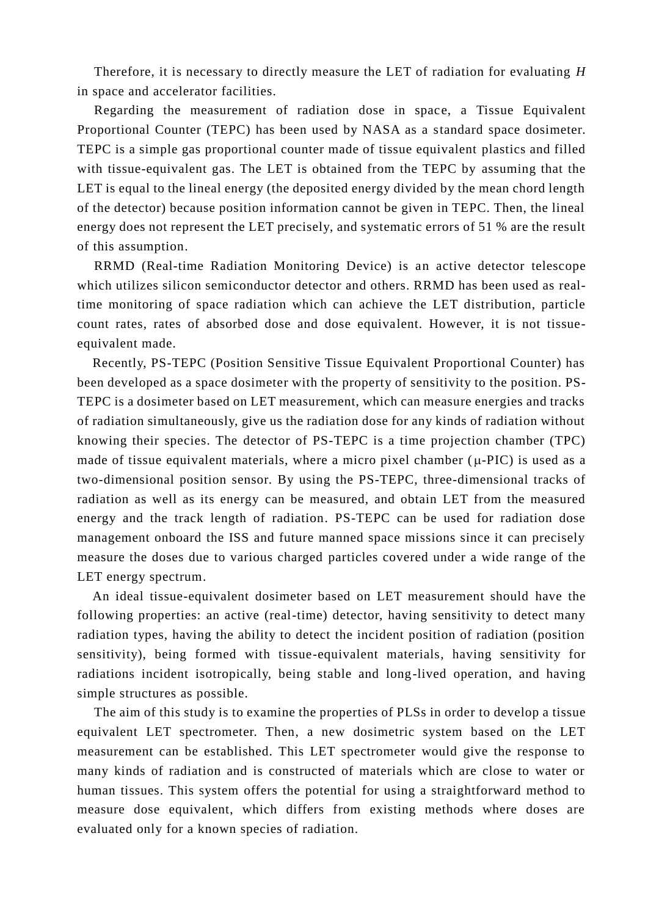Therefore, it is necessary to directly measure the LET of radiation for evaluating *H* in space and accelerator facilities.

Regarding the measurement of radiation dose in space, a Tissue Equivalent Proportional Counter (TEPC) has been used by NASA as a standard space dosimeter. TEPC is a simple gas proportional counter made of tissue equivalent plastics and filled with tissue-equivalent gas. The LET is obtained from the TEPC by assuming that the LET is equal to the lineal energy (the deposited energy divided by the mean chord length of the detector) because position information cannot be given in TEPC. Then, the lineal energy does not represent the LET precisely, and systematic errors of 51 % are the result of this assumption.

RRMD (Real-time Radiation Monitoring Device) is an active detector telescope which utilizes silicon semiconductor detector and others. RRMD has been used as realtime monitoring of space radiation which can achieve the LET distribution, particle count rates, rates of absorbed dose and dose equivalent. However, it is not tissueequivalent made.

Recently, PS-TEPC (Position Sensitive Tissue Equivalent Proportional Counter) has been developed as a space dosimeter with the property of sensitivity to the position. PS-TEPC is a dosimeter based on LET measurement, which can measure energies and tracks of radiation simultaneously, give us the radiation dose for any kinds of radiation without knowing their species. The detector of PS-TEPC is a time projection chamber (TPC) made of tissue equivalent materials, where a micro pixel chamber  $(\mu$ -PIC) is used as a two-dimensional position sensor. By using the PS-TEPC, three-dimensional tracks of radiation as well as its energy can be measured, and obtain LET from the measured energy and the track length of radiation. PS-TEPC can be used for radiation dose management onboard the ISS and future manned space missions since it can precisely measure the doses due to various charged particles covered under a wide range of the LET energy spectrum.

An ideal tissue-equivalent dosimeter based on LET measurement should have the following properties: an active (real-time) detector, having sensitivity to detect many radiation types, having the ability to detect the incident position of radiation (position sensitivity), being formed with tissue-equivalent materials, having sensitivity for radiations incident isotropically, being stable and long-lived operation, and having simple structures as possible.

The aim of this study is to examine the properties of PLSs in order to develop a tissue equivalent LET spectrometer. Then, a new dosimetric system based on the LET measurement can be established. This LET spectrometer would give the response to many kinds of radiation and is constructed of materials which are close to water or human tissues. This system offers the potential for using a straightforward method to measure dose equivalent, which differs from existing methods where doses are evaluated only for a known species of radiation.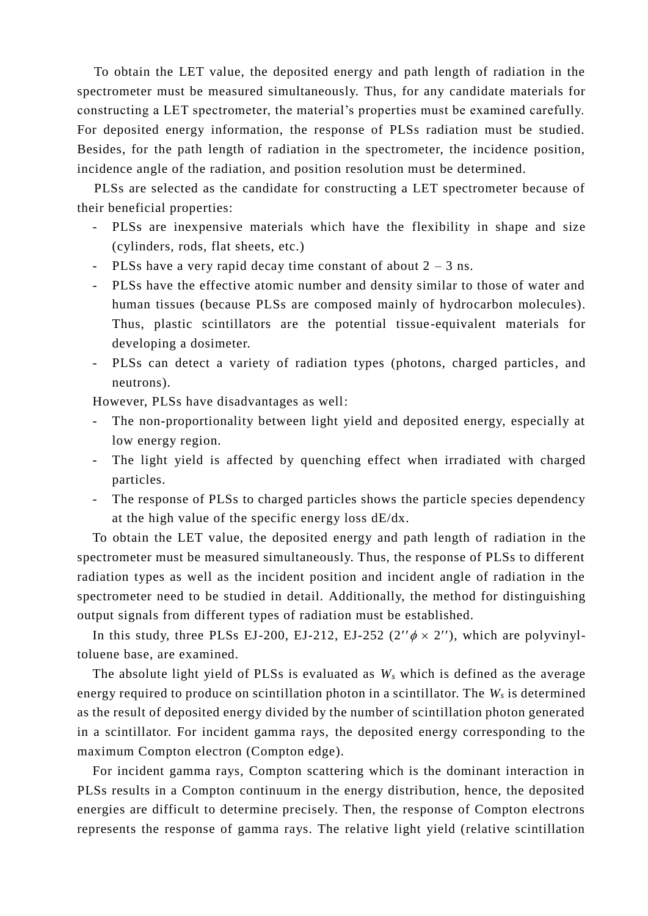To obtain the LET value, the deposited energy and path length of radiation in the spectrometer must be measured simultaneously. Thus, for any candidate materials for constructing a LET spectrometer, the material's properties must be examined carefully. For deposited energy information, the response of PLSs radiation must be studied. Besides, for the path length of radiation in the spectrometer, the incidence position, incidence angle of the radiation, and position resolution must be determined.

PLSs are selected as the candidate for constructing a LET spectrometer because of their beneficial properties:

- PLSs are inexpensive materials which have the flexibility in shape and size (cylinders, rods, flat sheets, etc.)
- PLSs have a very rapid decay time constant of about  $2 3$  ns.
- PLSs have the effective atomic number and density similar to those of water and human tissues (because PLSs are composed mainly of hydrocarbon molecules). Thus, plastic scintillators are the potential tissue-equivalent materials for developing a dosimeter.
- PLSs can detect a variety of radiation types (photons, charged particles, and neutrons).

However, PLSs have disadvantages as well:

- The non-proportionality between light yield and deposited energy, especially at low energy region.
- The light yield is affected by quenching effect when irradiated with charged particles.
- The response of PLSs to charged particles shows the particle species dependency at the high value of the specific energy loss dE/dx.

To obtain the LET value, the deposited energy and path length of radiation in the spectrometer must be measured simultaneously. Thus, the response of PLSs to different radiation types as well as the incident position and incident angle of radiation in the spectrometer need to be studied in detail. Additionally, the method for distinguishing output signals from different types of radiation must be established.

In this study, three PLSs EJ-200, EJ-212, EJ-252 (2" $\phi \times 2$ "), which are polyvinyltoluene base, are examined.

The absolute light yield of PLSs is evaluated as *W<sup>s</sup>* which is defined as the average energy required to produce on scintillation photon in a scintillator. The *W<sup>s</sup>* is determined as the result of deposited energy divided by the number of scintillation photon generated in a scintillator. For incident gamma rays, the deposited energy corresponding to the maximum Compton electron (Compton edge).

For incident gamma rays, Compton scattering which is the dominant interaction in PLSs results in a Compton continuum in the energy distribution, hence, the deposited energies are difficult to determine precisely. Then, the response of Compton electrons represents the response of gamma rays. The relative light yield (relative scintillation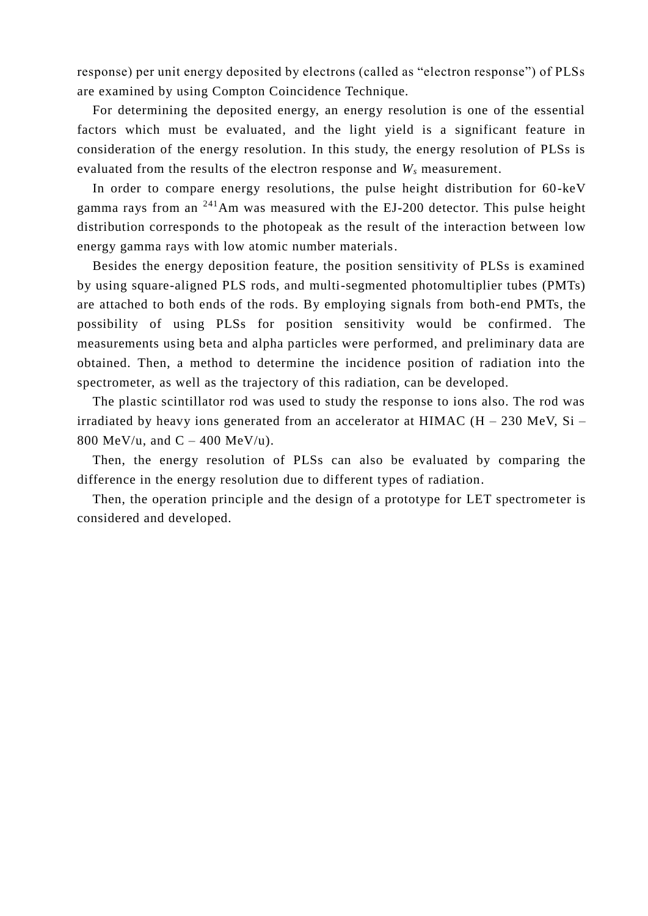response) per unit energy deposited by electrons (called as "electron response") of PLSs are examined by using Compton Coincidence Technique.

For determining the deposited energy, an energy resolution is one of the essential factors which must be evaluated, and the light yield is a significant feature in consideration of the energy resolution. In this study, the energy resolution of PLSs is evaluated from the results of the electron response and *W<sup>s</sup>* measurement.

In order to compare energy resolutions, the pulse height distribution for 60-keV gamma rays from an  $^{241}$ Am was measured with the EJ-200 detector. This pulse height distribution corresponds to the photopeak as the result of the interaction between low energy gamma rays with low atomic number materials.

Besides the energy deposition feature, the position sensitivity of PLSs is examined by using square-aligned PLS rods, and multi-segmented photomultiplier tubes (PMTs) are attached to both ends of the rods. By employing signals from both-end PMTs, the possibility of using PLSs for position sensitivity would be confirmed. The measurements using beta and alpha particles were performed, and preliminary data are obtained. Then, a method to determine the incidence position of radiation into the spectrometer, as well as the trajectory of this radiation, can be developed.

The plastic scintillator rod was used to study the response to ions also. The rod was irradiated by heavy ions generated from an accelerator at HIMAC  $(H - 230$  MeV, Si – 800 MeV/u, and  $C - 400$  MeV/u).

Then, the energy resolution of PLSs can also be evaluated by comparing the difference in the energy resolution due to different types of radiation.

Then, the operation principle and the design of a prototype for LET spectrometer is considered and developed.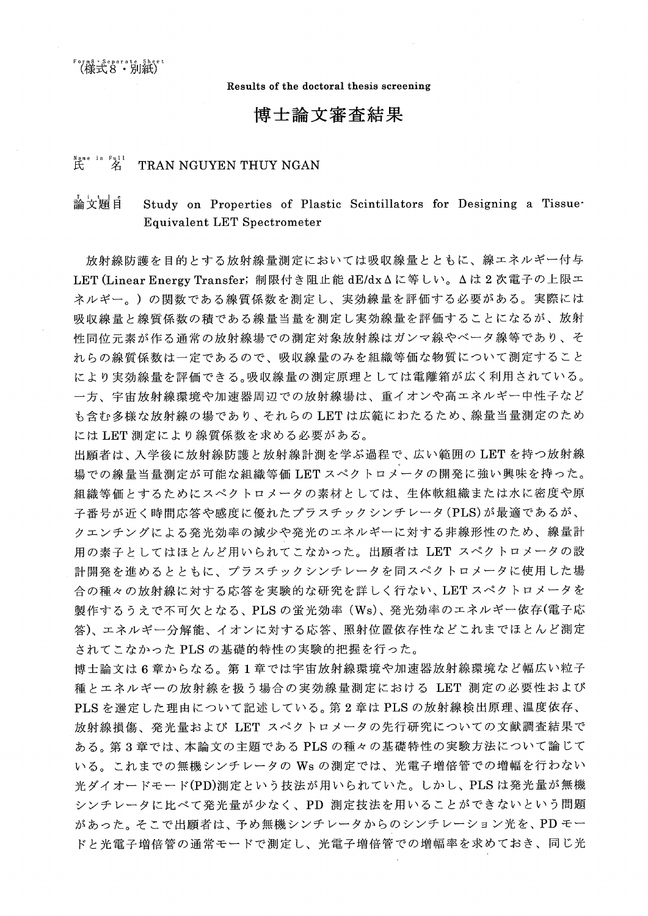。rms · separate\_shee"<br>(様式8・別紙)

Results of the doctoral thesis screening

# 博士論文審査結果

#### $R$  ame in Full<br> $R$ TRAN NGUYEN THUY NGAN

#### 論文頴自 Study on Properties of Plastic Scintillators for Designing a Tissue **Equivalent LET Spectrometer**

放射線防護を目的とする放射線量測定においては吸収線量とともに、線エネルギー付与 LET (Linear Energy Transfer; 制限付き阻止能 dE/dx Δに等しい。Δは2次電子の上限エ ネルギー。)の関数である線質係数を測定し、実効線量を評価する必要がある。実際には 吸収線量と線質係数の積である線量当量を測定し実効線量を評価することになるが、放射 性同位元素が作る通常の放射線場での測定対象放射線はガンマ線やベータ線等であり、そ れらの線質係数は一定であるので、吸収線量のみを組織等価な物質について測定すること により実効線量を評価できる。吸収線量の測定原理としては電離箱が広く利用されている。 一方、宇宙放射線環境や加速器周辺での放射線場は、重イオンや高エネルギー中性子など も含む多様な放射線の場であり、それらの LET は広範にわたるため、線量当量測定のため にはLET測定により線質係数を求める必要がある。

出願者は、入学後に放射線防護と放射線計測を学ぶ過程で、広い範囲の LET を持つ放射線 場での線量当量測定が可能な組織等価 LET スペクトロメータの開発に強い興味を持った。 組織等価とするためにスペクトロメータの素材としては、生体軟組織または水に密度や原 子番号が近く時間応答や感度に優れたプラスチックシンチレータ(PLS)が最適であるが、 クエンチングによる発光効率の減少や発光のエネルギーに対する非線形性のため、線量計 用の素子としてはほとんど用いられてこなかった。出願者は LET スペクトロメータの設 計開発を進めるとともに、プラスチックシンチレータを同スペクトロメータに使用した場 合の種々の放射線に対する応答を実験的な研究を詳しく行ない、LETスペクトロメータを 製作するうえで不可欠となる、PLSの蛍光効率 (Ws)、発光効率のエネルギー依存(電子応 答)、エネルギー分解能、イオンに対する応答、照射位置依存性などこれまでほとんど測定 されてこなかった PLS の基礎的特性の実験的把握を行った。

博士論文は6章からなる。第1章では宇宙放射線環境や加速器放射線環境など幅広い粒子 種とエネルギーの放射線を扱う場合の実効線量測定における LET 測定の必要性および PLSを選定した理由について記述している。第2章は PLSの放射線検出原理、温度依存、 放射線損傷、発光量および LET スペクトロメータの先行研究についての文献調査結果で ある。第3章では、本論文の主題である PLS の種々の基礎特性の実験方法について論じて いる。これまでの無機シンチレータの Ws の測定では、光電子増倍管での増幅を行わない 光ダイオードモード(PD)測定という技法が用いられていた。しかし、PLS は発光量が無機 シンチレータに比べて発光量が少なく、PD 測定技法を用いることができないという問題 があった。そこで出願者は、予め無機シンチレータからのシンチレーション光を、PD モー ドと光電子増倍管の通常モードで測定し、光電子増倍管での増幅率を求めておき、同じ光